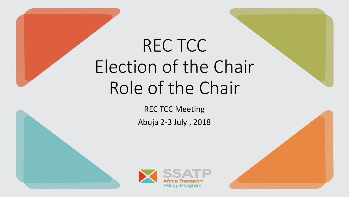# REC TCC Election of the Chair Role of the Chair

REC TCC Meeting Abuja 2-3 July , 2018



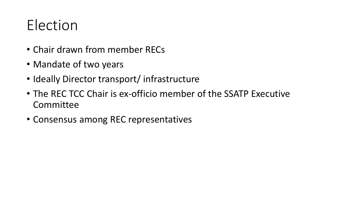## Election

- Chair drawn from member RECs
- Mandate of two years
- Ideally Director transport/ infrastructure
- The REC TCC Chair is ex-officio member of the SSATP Executive Committee
- Consensus among REC representatives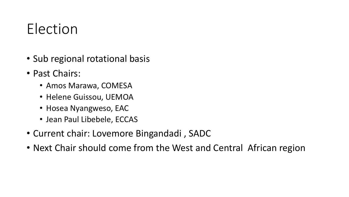### Election

- Sub regional rotational basis
- Past Chairs:
	- Amos Marawa, COMESA
	- Helene Guissou, UEMOA
	- Hosea Nyangweso, EAC
	- Jean Paul Libebele, ECCAS
- Current chair: Lovemore Bingandadi , SADC
- Next Chair should come from the West and Central African region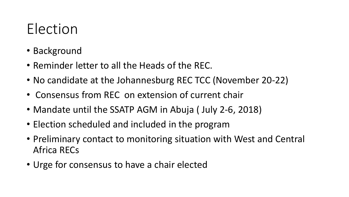### Election

- Background
- Reminder letter to all the Heads of the REC.
- No candidate at the Johannesburg REC TCC (November 20-22)
- Consensus from REC on extension of current chair
- Mandate until the SSATP AGM in Abuja ( July 2-6, 2018)
- Election scheduled and included in the program
- Preliminary contact to monitoring situation with West and Central Africa RECs
- Urge for consensus to have a chair elected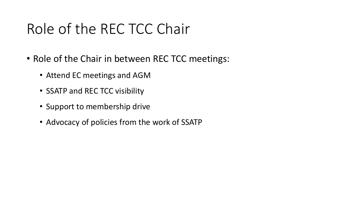#### Role of the REC TCC Chair

- Role of the Chair in between REC TCC meetings:
	- Attend EC meetings and AGM
	- SSATP and REC TCC visibility
	- Support to membership drive
	- Advocacy of policies from the work of SSATP